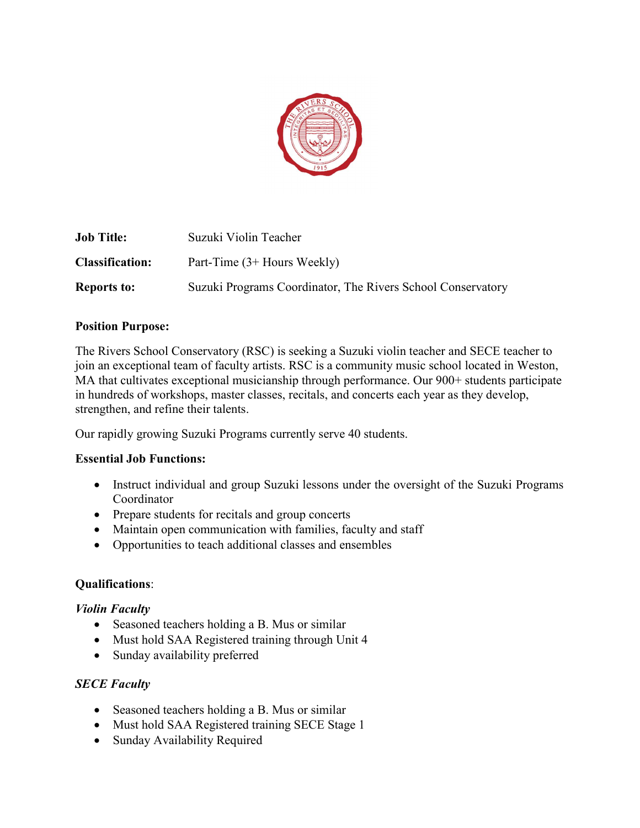

| <b>Job Title:</b>      | Suzuki Violin Teacher                                       |
|------------------------|-------------------------------------------------------------|
| <b>Classification:</b> | Part-Time $(3+$ Hours Weekly)                               |
| <b>Reports to:</b>     | Suzuki Programs Coordinator, The Rivers School Conservatory |

#### Position Purpose:

The Rivers School Conservatory (RSC) is seeking a Suzuki violin teacher and SECE teacher to join an exceptional team of faculty artists. RSC is a community music school located in Weston, MA that cultivates exceptional musicianship through performance. Our 900+ students participate in hundreds of workshops, master classes, recitals, and concerts each year as they develop, strengthen, and refine their talents.

Our rapidly growing Suzuki Programs currently serve 40 students.

## Essential Job Functions:

- Instruct individual and group Suzuki lessons under the oversight of the Suzuki Programs Coordinator
- Prepare students for recitals and group concerts
- Maintain open communication with families, faculty and staff
- Opportunities to teach additional classes and ensembles

## Qualifications:

## Violin Faculty

- Seasoned teachers holding a B. Mus or similar
- Must hold SAA Registered training through Unit 4
- Sunday availability preferred

## **SECE Faculty**

- Seasoned teachers holding a B. Mus or similar
- Must hold SAA Registered training SECE Stage 1
- Sunday Availability Required